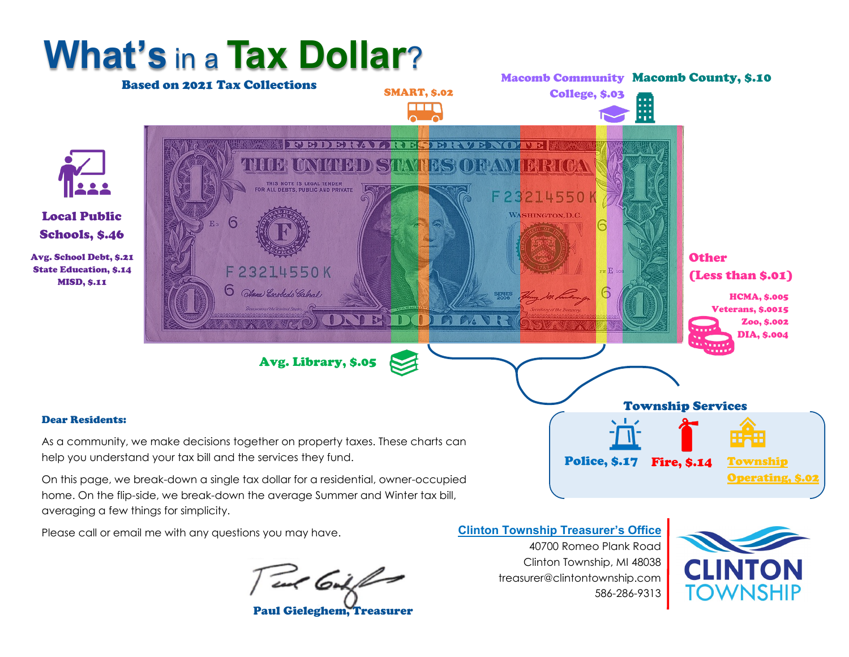

home. On the flip-side, we break-down the average Summer and Winter tax bill, averaging a few things for simplicity.

Please call or email me with any questions you may have.

Test Coil for

Paul Gieleghem, Treasurer

**Clinton Township Treasurer's Office**

40700 Romeo Plank Road Clinton Township, MI 48038 treasurer@clintontownship.com 586-286-9313